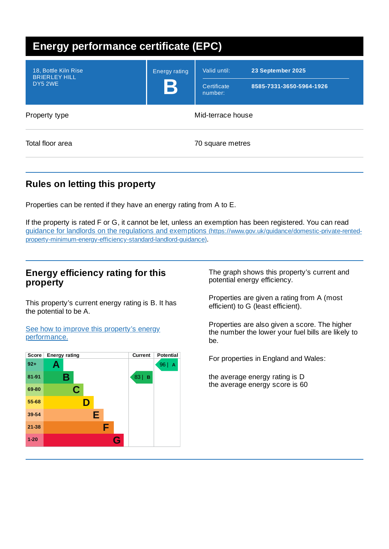| <b>Energy performance certificate (EPC)</b>             |                                     |                                        |                                               |
|---------------------------------------------------------|-------------------------------------|----------------------------------------|-----------------------------------------------|
| 18, Bottle Kiln Rise<br><b>BRIERLEY HILL</b><br>DY5 2WE | <b>Energy rating</b><br>$\mathbf B$ | Valid until:<br>Certificate<br>number: | 23 September 2025<br>8585-7331-3650-5964-1926 |
| Property type                                           |                                     | Mid-terrace house                      |                                               |
| Total floor area                                        |                                     | 70 square metres                       |                                               |

# **Rules on letting this property**

Properties can be rented if they have an energy rating from A to E.

If the property is rated F or G, it cannot be let, unless an exemption has been registered. You can read guidance for landlords on the regulations and exemptions (https://www.gov.uk/guidance/domestic-private-rented[property-minimum-energy-efficiency-standard-landlord-guidance\)](https://www.gov.uk/guidance/domestic-private-rented-property-minimum-energy-efficiency-standard-landlord-guidance).

## **Energy efficiency rating for this property**

This property's current energy rating is B. It has the potential to be A.

See how to improve this property's energy [performance.](#page-2-0)



The graph shows this property's current and potential energy efficiency.

Properties are given a rating from A (most efficient) to G (least efficient).

Properties are also given a score. The higher the number the lower your fuel bills are likely to be.

For properties in England and Wales:

the average energy rating is D the average energy score is 60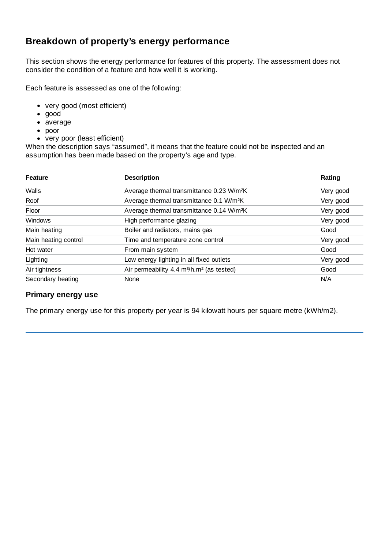## **Breakdown of property's energy performance**

This section shows the energy performance for features of this property. The assessment does not consider the condition of a feature and how well it is working.

Each feature is assessed as one of the following:

- very good (most efficient)
- good
- average
- poor
- very poor (least efficient)

When the description says "assumed", it means that the feature could not be inspected and an assumption has been made based on the property's age and type.

| <b>Feature</b>       | <b>Description</b>                                                | Rating    |
|----------------------|-------------------------------------------------------------------|-----------|
| Walls                | Average thermal transmittance 0.23 W/m <sup>2</sup> K             | Very good |
| Roof                 | Average thermal transmittance 0.1 W/m <sup>2</sup> K              | Very good |
| Floor                | Average thermal transmittance 0.14 W/m <sup>2</sup> K             | Very good |
| <b>Windows</b>       | High performance glazing                                          | Very good |
| Main heating         | Boiler and radiators, mains gas                                   | Good      |
| Main heating control | Time and temperature zone control                                 | Very good |
| Hot water            | From main system                                                  | Good      |
| Lighting             | Low energy lighting in all fixed outlets                          | Very good |
| Air tightness        | Air permeability 4.4 m <sup>3</sup> /h.m <sup>2</sup> (as tested) | Good      |
| Secondary heating    | None                                                              | N/A       |

### **Primary energy use**

The primary energy use for this property per year is 94 kilowatt hours per square metre (kWh/m2).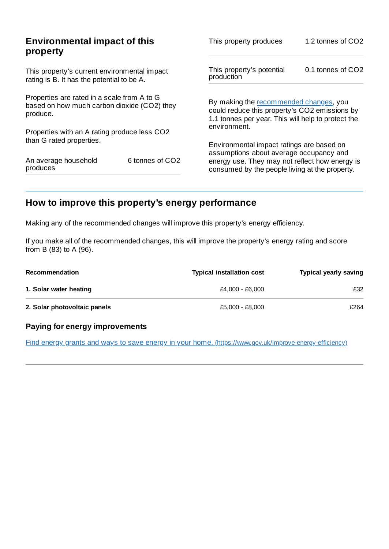| <b>Environmental impact of this</b><br>property                                                        |  | This property produces                                                                                                                        | 1.2 tonnes of CO2 |
|--------------------------------------------------------------------------------------------------------|--|-----------------------------------------------------------------------------------------------------------------------------------------------|-------------------|
| This property's current environmental impact<br>rating is B. It has the potential to be A.             |  | This property's potential<br>production                                                                                                       | 0.1 tonnes of CO2 |
| Properties are rated in a scale from A to G<br>based on how much carbon dioxide (CO2) they<br>produce. |  | By making the recommended changes, you<br>could reduce this property's CO2 emissions by<br>1.1 tonnes per year. This will help to protect the |                   |
| Properties with an A rating produce less CO2                                                           |  | environment.                                                                                                                                  |                   |
| than G rated properties.                                                                               |  | Environmental impact ratings are based on<br>assumptions about average occupancy and                                                          |                   |
| 6 tonnes of CO <sub>2</sub><br>An average household<br>produces                                        |  | energy use. They may not reflect how energy is<br>consumed by the people living at the property.                                              |                   |

# <span id="page-2-0"></span>**How to improve this property's energy performance**

Making any of the recommended changes will improve this property's energy efficiency.

If you make all of the recommended changes, this will improve the property's energy rating and score from B (83) to A (96).

| <b>Recommendation</b>        | <b>Typical installation cost</b> | <b>Typical yearly saving</b> |
|------------------------------|----------------------------------|------------------------------|
| 1. Solar water heating       | £4,000 - £6,000                  | £32                          |
| 2. Solar photovoltaic panels | £5.000 - £8.000                  | £264                         |

### **Paying for energy improvements**

Find energy grants and ways to save energy in your home. [\(https://www.gov.uk/improve-energy-efficiency\)](https://www.gov.uk/improve-energy-efficiency)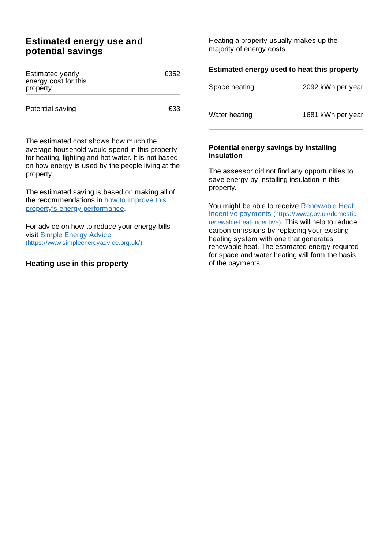## **Estimated energy use and potential savings**

| <b>Estimated yearly</b><br>energy cost for this<br>property | £352 |
|-------------------------------------------------------------|------|
| Potential saving                                            | £33. |

The estimated cost shows how much the average household would spend in this property for heating, lighting and hot water. It is not based on how energy is used by the people living at the property.

The estimated saving is based on making all of the [recommendations](#page-2-0) in how to improve this property's energy performance.

For advice on how to reduce your energy bills visit Simple Energy Advice [\(https://www.simpleenergyadvice.org.uk/\)](https://www.simpleenergyadvice.org.uk/).

### **Heating use in this property**

Heating a property usually makes up the majority of energy costs.

| Estimated energy used to heat this property |                   |  |
|---------------------------------------------|-------------------|--|
| Space heating                               | 2092 kWh per year |  |
| Water heating                               | 1681 kWh per year |  |
| Detential enevan: escurare las installina   |                   |  |

#### **Potential energy savings by installing insulation**

The assessor did not find any opportunities to save energy by installing insulation in this property.

You might be able to receive Renewable Heat Incentive payments [\(https://www.gov.uk/domestic](https://www.gov.uk/domestic-renewable-heat-incentive)renewable-heat-incentive). This will help to reduce carbon emissions by replacing your existing heating system with one that generates renewable heat. The estimated energy required for space and water heating will form the basis of the payments.